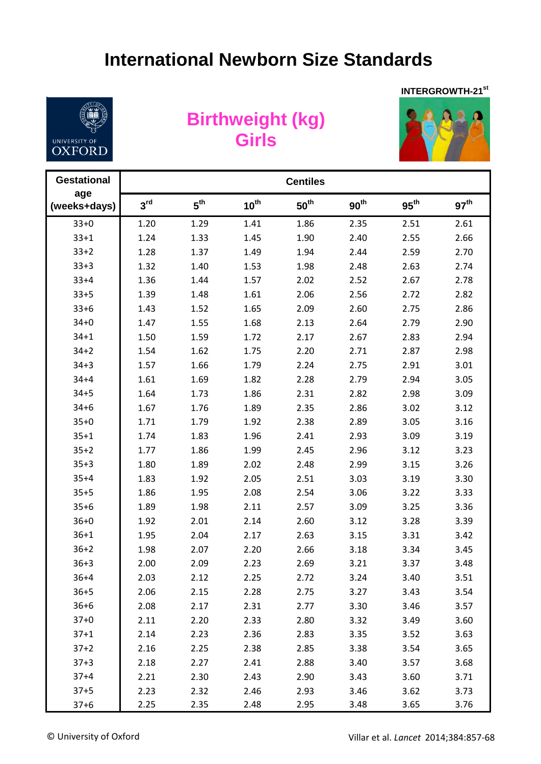## **International Newborn Size Standards**



## **Birthweight (kg) Girls**



| <b>Gestational</b>  | <b>Centiles</b> |                 |                  |                  |                  |                  |                  |  |  |  |
|---------------------|-----------------|-----------------|------------------|------------------|------------------|------------------|------------------|--|--|--|
| age<br>(weeks+days) | 3 <sup>rd</sup> | 5 <sup>th</sup> | $10^{\text{th}}$ | 50 <sup>th</sup> | 90 <sup>th</sup> | $95^{\text{th}}$ | 97 <sup>th</sup> |  |  |  |
| $33+0$              | 1.20            | 1.29            | 1.41             | 1.86             | 2.35             | 2.51             | 2.61             |  |  |  |
| $33 + 1$            | 1.24            | 1.33            | 1.45             | 1.90             | 2.40             | 2.55             | 2.66             |  |  |  |
| $33+2$              | 1.28            | 1.37            | 1.49             | 1.94             | 2.44             | 2.59             | 2.70             |  |  |  |
| $33+3$              | 1.32            | 1.40            | 1.53             | 1.98             | 2.48             | 2.63             | 2.74             |  |  |  |
| $33 + 4$            | 1.36            | 1.44            | 1.57             | 2.02             | 2.52             | 2.67             | 2.78             |  |  |  |
| $33 + 5$            | 1.39            | 1.48            | 1.61             | 2.06             | 2.56             | 2.72             | 2.82             |  |  |  |
| $33 + 6$            | 1.43            | 1.52            | 1.65             | 2.09             | 2.60             | 2.75             | 2.86             |  |  |  |
| $34 + 0$            | 1.47            | 1.55            | 1.68             | 2.13             | 2.64             | 2.79             | 2.90             |  |  |  |
| $34 + 1$            | 1.50            | 1.59            | 1.72             | 2.17             | 2.67             | 2.83             | 2.94             |  |  |  |
| $34 + 2$            | 1.54            | 1.62            | 1.75             | 2.20             | 2.71             | 2.87             | 2.98             |  |  |  |
| $34 + 3$            | 1.57            | 1.66            | 1.79             | 2.24             | 2.75             | 2.91             | 3.01             |  |  |  |
| $34 + 4$            | 1.61            | 1.69            | 1.82             | 2.28             | 2.79             | 2.94             | 3.05             |  |  |  |
| $34 + 5$            | 1.64            | 1.73            | 1.86             | 2.31             | 2.82             | 2.98             | 3.09             |  |  |  |
| $34 + 6$            | 1.67            | 1.76            | 1.89             | 2.35             | 2.86             | 3.02             | 3.12             |  |  |  |
| $35 + 0$            | 1.71            | 1.79            | 1.92             | 2.38             | 2.89             | 3.05             | 3.16             |  |  |  |
| $35 + 1$            | 1.74            | 1.83            | 1.96             | 2.41             | 2.93             | 3.09             | 3.19             |  |  |  |
| $35 + 2$            | 1.77            | 1.86            | 1.99             | 2.45             | 2.96             | 3.12             | 3.23             |  |  |  |
| $35 + 3$            | 1.80            | 1.89            | 2.02             | 2.48             | 2.99             | 3.15             | 3.26             |  |  |  |
| $35 + 4$            | 1.83            | 1.92            | 2.05             | 2.51             | 3.03             | 3.19             | 3.30             |  |  |  |
| $35 + 5$            | 1.86            | 1.95            | 2.08             | 2.54             | 3.06             | 3.22             | 3.33             |  |  |  |
| $35 + 6$            | 1.89            | 1.98            | 2.11             | 2.57             | 3.09             | 3.25             | 3.36             |  |  |  |
| $36 + 0$            | 1.92            | 2.01            | 2.14             | 2.60             | 3.12             | 3.28             | 3.39             |  |  |  |
| $36 + 1$            | 1.95            | 2.04            | 2.17             | 2.63             | 3.15             | 3.31             | 3.42             |  |  |  |
| $36 + 2$            | 1.98            | 2.07            | 2.20             | 2.66             | 3.18             | 3.34             | 3.45             |  |  |  |
| $36 + 3$            | 2.00            | 2.09            | 2.23             | 2.69             | 3.21             | 3.37             | 3.48             |  |  |  |
| $36 + 4$            | 2.03            | 2.12            | 2.25             | 2.72             | 3.24             | 3.40             | 3.51             |  |  |  |
| $36 + 5$            | 2.06            | 2.15            | 2.28             | 2.75             | 3.27             | 3.43             | 3.54             |  |  |  |
| $36 + 6$            | 2.08            | 2.17            | 2.31             | 2.77             | 3.30             | 3.46             | 3.57             |  |  |  |
| $37 + 0$            | 2.11            | 2.20            | 2.33             | 2.80             | 3.32             | 3.49             | 3.60             |  |  |  |
| $37 + 1$            | 2.14            | 2.23            | 2.36             | 2.83             | 3.35             | 3.52             | 3.63             |  |  |  |
| $37 + 2$            | 2.16            | 2.25            | 2.38             | 2.85             | 3.38             | 3.54             | 3.65             |  |  |  |
| $37 + 3$            | 2.18            | 2.27            | 2.41             | 2.88             | 3.40             | 3.57             | 3.68             |  |  |  |
| $37 + 4$            | 2.21            | 2.30            | 2.43             | 2.90             | 3.43             | 3.60             | 3.71             |  |  |  |
| $37 + 5$            | 2.23            | 2.32            | 2.46             | 2.93             | 3.46             | 3.62             | 3.73             |  |  |  |
| $37 + 6$            | 2.25            | 2.35            | 2.48             | 2.95             | 3.48             | 3.65             | 3.76             |  |  |  |